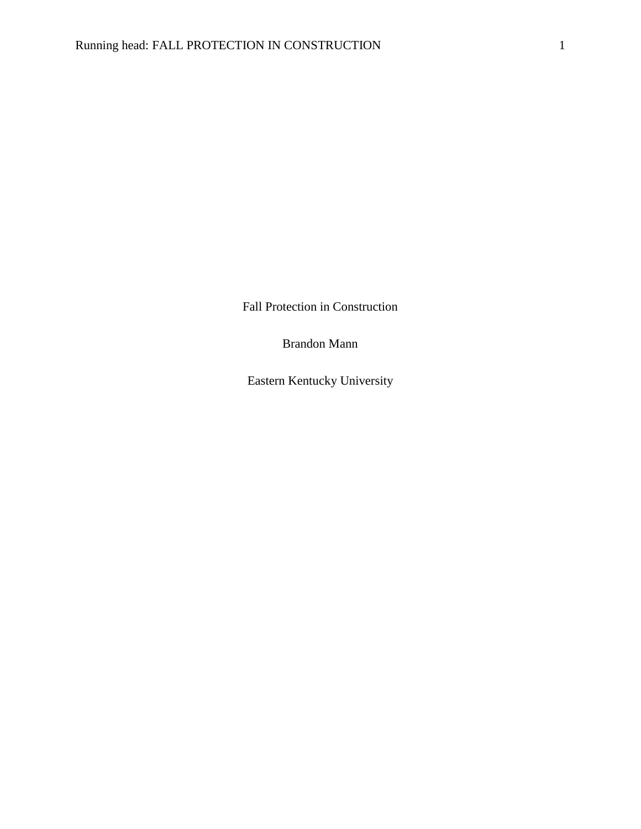Fall Protection in Construction

Brandon Mann

Eastern Kentucky University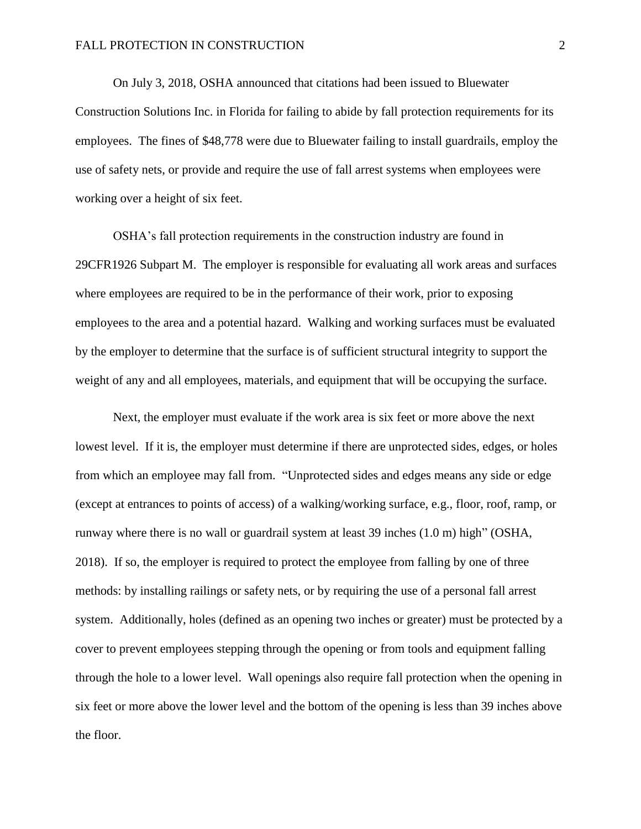On July 3, 2018, OSHA announced that citations had been issued to Bluewater Construction Solutions Inc. in Florida for failing to abide by fall protection requirements for its employees. The fines of \$48,778 were due to Bluewater failing to install guardrails, employ the use of safety nets, or provide and require the use of fall arrest systems when employees were working over a height of six feet.

OSHA's fall protection requirements in the construction industry are found in 29CFR1926 Subpart M. The employer is responsible for evaluating all work areas and surfaces where employees are required to be in the performance of their work, prior to exposing employees to the area and a potential hazard. Walking and working surfaces must be evaluated by the employer to determine that the surface is of sufficient structural integrity to support the weight of any and all employees, materials, and equipment that will be occupying the surface.

Next, the employer must evaluate if the work area is six feet or more above the next lowest level. If it is, the employer must determine if there are unprotected sides, edges, or holes from which an employee may fall from. "Unprotected sides and edges means any side or edge (except at entrances to points of access) of a walking/working surface, e.g., floor, roof, ramp, or runway where there is no wall or guardrail system at least 39 inches (1.0 m) high" (OSHA, 2018). If so, the employer is required to protect the employee from falling by one of three methods: by installing railings or safety nets, or by requiring the use of a personal fall arrest system. Additionally, holes (defined as an opening two inches or greater) must be protected by a cover to prevent employees stepping through the opening or from tools and equipment falling through the hole to a lower level. Wall openings also require fall protection when the opening in six feet or more above the lower level and the bottom of the opening is less than 39 inches above the floor.